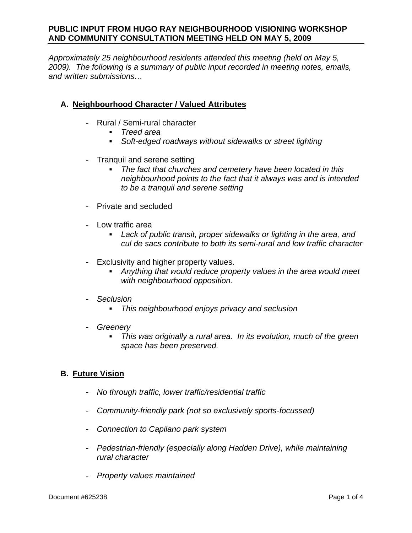# **PUBLIC INPUT FROM HUGO RAY NEIGHBOURHOOD VISIONING WORKSHOP AND COMMUNITY CONSULTATION MEETING HELD ON MAY 5, 2009**

*Approximately 25 neighbourhood residents attended this meeting (held on May 5, 2009). The following is a summary of public input recorded in meeting notes, emails, and written submissions…* 

# **A. Neighbourhood Character / Valued Attributes**

- Rural / Semi-rural character
	- *Treed area*
	- *Soft-edged roadways without sidewalks or street lighting*
- Tranquil and serene setting
	- *The fact that churches and cemetery have been located in this neighbourhood points to the fact that it always was and is intended to be a tranquil and serene setting*
- Private and secluded
- Low traffic area
	- *Lack of public transit, proper sidewalks or lighting in the area, and cul de sacs contribute to both its semi-rural and low traffic character*
- Exclusivity and higher property values.
	- *Anything that would reduce property values in the area would meet with neighbourhood opposition.*
- *Seclusion* 
	- *This neighbourhood enjoys privacy and seclusion*
- *Greenery* 
	- *This was originally a rural area. In its evolution, much of the green space has been preserved.*

# **B. Future Vision**

- *No through traffic, lower traffic/residential traffic*
- *Community-friendly park (not so exclusively sports-focussed)*
- *Connection to Capilano park system*
- *Pedestrian-friendly (especially along Hadden Drive), while maintaining rural character*
- *Property values maintained*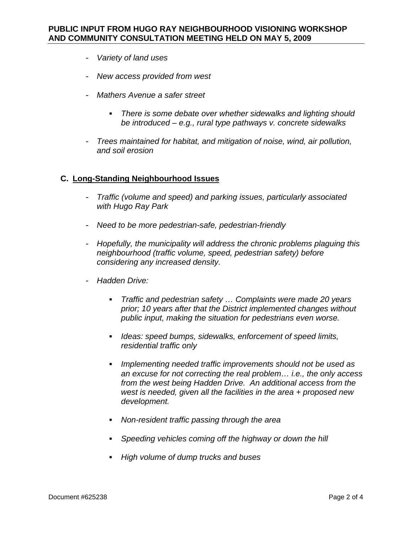- *Variety of land uses*
- *New access provided from west*
- *Mathers Avenue a safer street* 
	- *There is some debate over whether sidewalks and lighting should be introduced – e.g., rural type pathways v. concrete sidewalks*
- *Trees maintained for habitat, and mitigation of noise, wind, air pollution, and soil erosion*

#### **C. Long-Standing Neighbourhood Issues**

- *Traffic (volume and speed) and parking issues, particularly associated with Hugo Ray Park*
- *Need to be more pedestrian-safe, pedestrian-friendly*
- *Hopefully, the municipality will address the chronic problems plaguing this neighbourhood (traffic volume, speed, pedestrian safety) before considering any increased density.*
- *Hadden Drive:* 
	- *Traffic and pedestrian safety … Complaints were made 20 years prior; 10 years after that the District implemented changes without public input, making the situation for pedestrians even worse.*
	- *Ideas: speed bumps, sidewalks, enforcement of speed limits, residential traffic only*
	- *Implementing needed traffic improvements should not be used as an excuse for not correcting the real problem… i.e., the only access from the west being Hadden Drive. An additional access from the west is needed, given all the facilities in the area + proposed new development.*
	- *Non-resident traffic passing through the area*
	- *Speeding vehicles coming off the highway or down the hill*
	- *High volume of dump trucks and buses*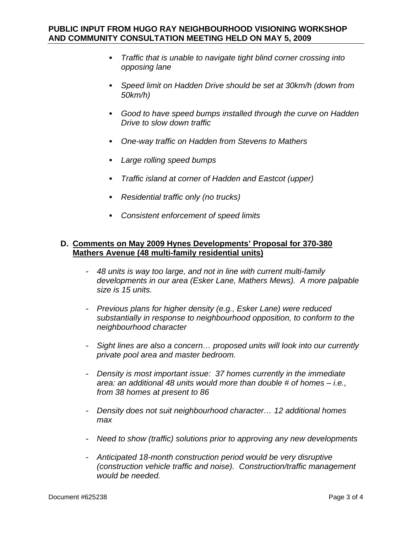- *Traffic that is unable to navigate tight blind corner crossing into opposing lane*
- *Speed limit on Hadden Drive should be set at 30km/h (down from 50km/h)*
- *Good to have speed bumps installed through the curve on Hadden Drive to slow down traffic*
- *One-way traffic on Hadden from Stevens to Mathers*
- *Large rolling speed bumps*
- *Traffic island at corner of Hadden and Eastcot (upper)*
- *Residential traffic only (no trucks)*
- *Consistent enforcement of speed limits*

# **D. Comments on May 2009 Hynes Developments' Proposal for 370-380 Mathers Avenue (48 multi-family residential units)**

- *48 units is way too large, and not in line with current multi-family developments in our area (Esker Lane, Mathers Mews). A more palpable size is 15 units.*
- *Previous plans for higher density (e.g., Esker Lane) were reduced substantially in response to neighbourhood opposition, to conform to the neighbourhood character*
- *Sight lines are also a concern… proposed units will look into our currently private pool area and master bedroom.*
- *Density is most important issue: 37 homes currently in the immediate area: an additional 48 units would more than double # of homes – i.e., from 38 homes at present to 86*
- *Density does not suit neighbourhood character… 12 additional homes max*
- *Need to show (traffic) solutions prior to approving any new developments*
- *Anticipated 18-month construction period would be very disruptive (construction vehicle traffic and noise). Construction/traffic management would be needed.*